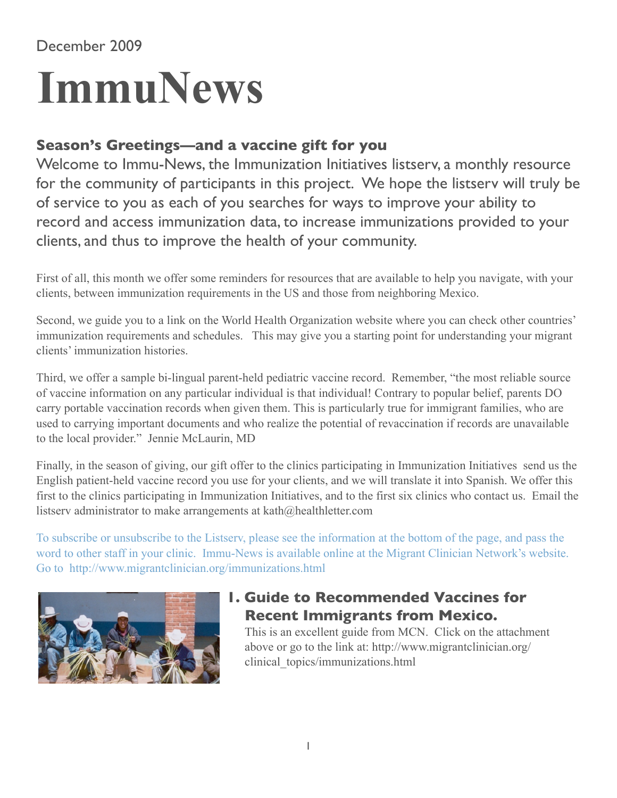## December 2009

# **ImmuNews**

### **Season's Greetings—and a vaccine gift for you**

record and access immunization data, to increase immunizations provided to your Welcome to Immu-News, the Immunization Initiatives listserv, a monthly resource for the community of participants in this project. We hope the listserv will truly be of service to you as each of you searches for ways to improve your ability to clients, and thus to improve the health of your community.

First of all, this month we offer some reminders for resources that are available to help you navigate, with your clients, between immunization requirements in the US and those from neighboring Mexico.

Second, we guide you to a link on the World Health Organization website where you can check other countries' immunization requirements and schedules. This may give you a starting point for understanding your migrant clients' immunization histories.

Third, we offer a sample bi-lingual parent-held pediatric vaccine record. Remember, "the most reliable source of vaccine information on any particular individual is that individual! Contrary to popular belief, parents DO carry portable vaccination records when given them. This is particularly true for immigrant families, who are used to carrying important documents and who realize the potential of revaccination if records are unavailable to the local provider." Jennie McLaurin, MD

Finally, in the season of giving, our gift offer to the clinics participating in Immunization Initiatives send us the English patient-held vaccine record you use for your clients, and we will translate it into Spanish. We offer this first to the clinics participating in Immunization Initiatives, and to the first six clinics who contact us. Email the listserv administrator to make arrangements at [kath@healthletter.com](mailto:kath@healthletter.com)

To subscribe or unsubscribe to the Listserv, please see the information at the bottom of the page, and pass the word to other staff in your clinic. Immu-News is available online at the Migrant Clinician Network's website. Go to <http://www.migrantclinician.org/immunizations.html>



# **1. Guide to Recommended Vaccines for Recent Immigrants from Mexico.**

This is an excellent guide from MCN. Click on the attachment above or go to the link at: [http://www.migrantclinician.org/](http://www.migrantclinician.org/clinical_topics/immunizations.html) [clinical\\_topics/immunizations.html](http://www.migrantclinician.org/clinical_topics/immunizations.html)